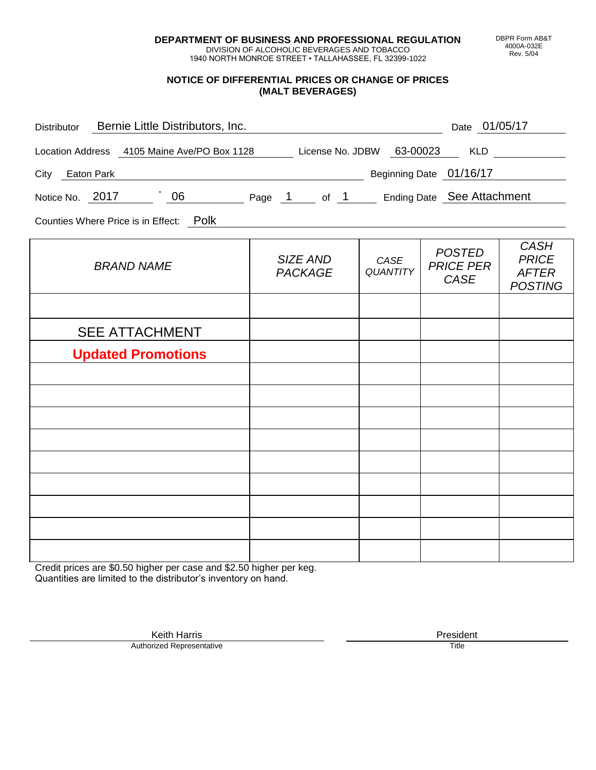**DEPARTMENT OF BUSINESS AND PROFESSIONAL REGULATION** DIVISION OF ALCOHOLIC BEVERAGES AND TOBACCO

1940 NORTH MONROE STREET • TALLAHASSEE, FL 32399-1022

## **NOTICE OF DIFFERENTIAL PRICES OR CHANGE OF PRICES (MALT BEVERAGES)**

| Bernie Little Distributors, Inc.<br>Distributor                           |                            |                         | Date 01/05/17                                    |                                                               |
|---------------------------------------------------------------------------|----------------------------|-------------------------|--------------------------------------------------|---------------------------------------------------------------|
| Location Address 4105 Maine Ave/PO Box 1128 License No. JDBW 63-00023 KLD |                            |                         |                                                  |                                                               |
| Beginning Date 01/16/17<br>City Eaton Park                                |                            |                         |                                                  |                                                               |
| Notice No. 2017 106 Page 1 of 1 Ending Date See Attachment                |                            |                         |                                                  |                                                               |
| Counties Where Price is in Effect: Polk                                   |                            |                         |                                                  |                                                               |
| <b>BRAND NAME</b>                                                         | SIZE AND<br><b>PACKAGE</b> | CASE<br><b>QUANTITY</b> | <b>POSTED</b><br><b>PRICE PER</b><br><b>CASE</b> | <b>CASH</b><br><b>PRICE</b><br><b>AFTER</b><br><b>POSTING</b> |
|                                                                           |                            |                         |                                                  |                                                               |
| <b>SEE ATTACHMENT</b>                                                     |                            |                         |                                                  |                                                               |
| <b>Updated Promotions</b>                                                 |                            |                         |                                                  |                                                               |
|                                                                           |                            |                         |                                                  |                                                               |
|                                                                           |                            |                         |                                                  |                                                               |
|                                                                           |                            |                         |                                                  |                                                               |
|                                                                           |                            |                         |                                                  |                                                               |
|                                                                           |                            |                         |                                                  |                                                               |
|                                                                           |                            |                         |                                                  |                                                               |
|                                                                           |                            |                         |                                                  |                                                               |
|                                                                           |                            |                         |                                                  |                                                               |

Credit prices are \$0.50 higher per case and \$2.50 higher per keg. Quantities are limited to the distributor's inventory on hand.

> Keith Harris **President** President **President** President **President** President **President** Authorized Representative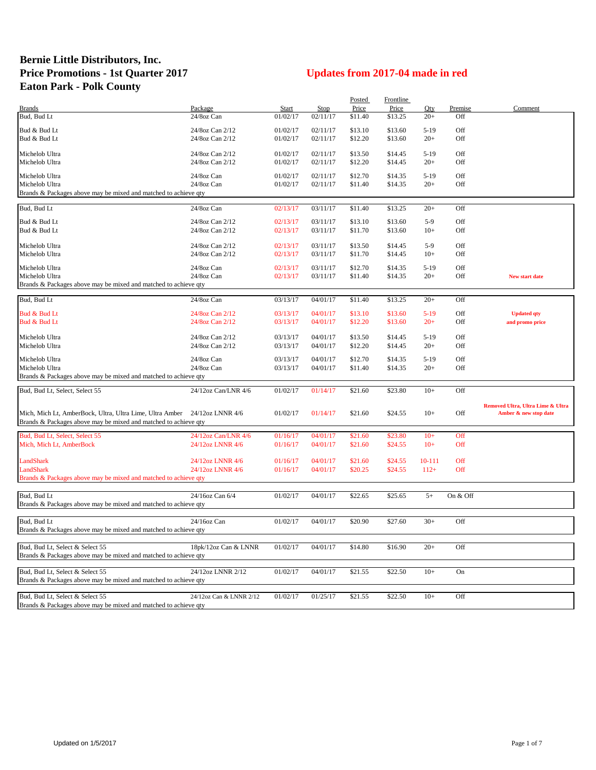## **Bernie Little Distributors, Inc. Price Promotions - 1st Quarter 2017 Updates from 2017-04 made in red Eaton Park - Polk County**

|                                                                           |                         |          |          | Posted  | Frontline |        |          |                                   |
|---------------------------------------------------------------------------|-------------------------|----------|----------|---------|-----------|--------|----------|-----------------------------------|
| <b>Brands</b>                                                             | Package                 | Start    | Stop     | Price   | Price     | Oty    | Premise  | Comment                           |
| Bud, Bud Lt                                                               | 24/8oz Can              | 01/02/17 | 02/11/17 | \$11.40 | \$13.25   | $20+$  | Off      |                                   |
|                                                                           |                         |          |          |         |           |        |          |                                   |
| Bud & Bud Lt                                                              | 24/8oz Can 2/12         | 01/02/17 | 02/11/17 | \$13.10 | \$13.60   | $5-19$ | Off      |                                   |
| Bud & Bud Lt                                                              | 24/8oz Can 2/12         | 01/02/17 | 02/11/17 | \$12.20 | \$13.60   | $20+$  | Off      |                                   |
|                                                                           |                         |          |          |         |           |        |          |                                   |
| Michelob Ultra                                                            | 24/8oz Can 2/12         | 01/02/17 | 02/11/17 | \$13.50 | \$14.45   | $5-19$ | Off      |                                   |
| Michelob Ultra                                                            | 24/8oz Can 2/12         | 01/02/17 | 02/11/17 | \$12.20 | \$14.45   | $20+$  | Off      |                                   |
|                                                                           | 24/8oz Can              |          |          |         |           | $5-19$ | Off      |                                   |
| Michelob Ultra                                                            |                         | 01/02/17 | 02/11/17 | \$12.70 | \$14.35   |        |          |                                   |
| Michelob Ultra                                                            | 24/8oz Can              | 01/02/17 | 02/11/17 | \$11.40 | \$14.35   | $20+$  | Off      |                                   |
| Brands & Packages above may be mixed and matched to achieve qty           |                         |          |          |         |           |        |          |                                   |
|                                                                           |                         |          |          |         |           |        |          |                                   |
| Bud, Bud Lt                                                               | 24/8oz Can              | 02/13/17 | 03/11/17 | \$11.40 | \$13.25   | $20+$  | Off      |                                   |
| Bud & Bud Lt                                                              | 24/8oz Can 2/12         | 02/13/17 | 03/11/17 | \$13.10 | \$13.60   | $5-9$  | Off      |                                   |
| Bud & Bud Lt                                                              | 24/8oz Can 2/12         | 02/13/17 | 03/11/17 | \$11.70 | \$13.60   | $10+$  | Off      |                                   |
|                                                                           |                         |          |          |         |           |        |          |                                   |
| Michelob Ultra                                                            | 24/8oz Can 2/12         | 02/13/17 | 03/11/17 | \$13.50 | \$14.45   | $5-9$  | Off      |                                   |
|                                                                           |                         |          |          |         |           | $10+$  | Off      |                                   |
| Michelob Ultra                                                            | 24/8oz Can 2/12         | 02/13/17 | 03/11/17 | \$11.70 | \$14.45   |        |          |                                   |
| Michelob Ultra                                                            | 24/8oz Can              | 02/13/17 | 03/11/17 | \$12.70 | \$14.35   | $5-19$ | Off      |                                   |
| Michelob Ultra                                                            | 24/8oz Can              | 02/13/17 | 03/11/17 | \$11.40 | \$14.35   | $20+$  | Off      | New start date                    |
|                                                                           |                         |          |          |         |           |        |          |                                   |
| Brands & Packages above may be mixed and matched to achieve qty           |                         |          |          |         |           |        |          |                                   |
| Bud, Bud Lt                                                               | 24/8oz Can              | 03/13/17 | 04/01/17 | \$11.40 | \$13.25   | $20+$  | Off      |                                   |
|                                                                           |                         |          |          |         |           |        |          |                                   |
| Bud & Bud Lt                                                              | 24/8oz Can 2/12         | 03/13/17 | 04/01/17 | \$13.10 | \$13.60   | $5-19$ | Off      | <b>Updated qty</b>                |
| Bud & Bud Lt                                                              | 24/8oz Can 2/12         | 03/13/17 | 04/01/17 | \$12.20 | \$13.60   | $20+$  | Off      | and promo price                   |
|                                                                           |                         |          |          |         |           |        |          |                                   |
| Michelob Ultra                                                            | 24/8oz Can 2/12         | 03/13/17 | 04/01/17 | \$13.50 | \$14.45   | $5-19$ | Off      |                                   |
| Michelob Ultra                                                            | 24/8oz Can 2/12         | 03/13/17 | 04/01/17 | \$12.20 | \$14.45   | $20+$  | Off      |                                   |
|                                                                           |                         |          |          |         |           |        |          |                                   |
| Michelob Ultra                                                            | 24/8oz Can              | 03/13/17 | 04/01/17 | \$12.70 | \$14.35   | $5-19$ | Off      |                                   |
| Michelob Ultra                                                            | 24/8oz Can              | 03/13/17 | 04/01/17 | \$11.40 | \$14.35   | $20+$  | Off      |                                   |
| Brands & Packages above may be mixed and matched to achieve qty           |                         |          |          |         |           |        |          |                                   |
|                                                                           |                         |          |          |         |           |        |          |                                   |
| Bud, Bud Lt, Select, Select 55                                            | 24/12oz Can/LNR 4/6     | 01/02/17 | 01/14/17 | \$21.60 | \$23.80   | $10+$  | Off      |                                   |
|                                                                           |                         |          |          |         |           |        |          |                                   |
|                                                                           |                         |          |          |         |           |        |          | Removed Ultra, Ultra Lime & Ultra |
| Mich, Mich Lt, AmberBock, Ultra, Ultra Lime, Ultra Amber 24/12oz LNNR 4/6 |                         | 01/02/17 | 01/14/17 | \$21.60 | \$24.55   | $10+$  | Off      | Amber & new stop date             |
| Brands & Packages above may be mixed and matched to achieve qty           |                         |          |          |         |           |        |          |                                   |
|                                                                           |                         |          |          |         |           |        |          |                                   |
| Bud, Bud Lt, Select, Select 55                                            | 24/12oz Can/LNR 4/6     | 01/16/17 | 04/01/17 | \$21.60 | \$23.80   | $10+$  | Off      |                                   |
| Mich, Mich Lt, AmberBock                                                  | 24/12oz LNNR 4/6        | 01/16/17 | 04/01/17 | \$21.60 | \$24.55   | $10+$  | Off      |                                   |
|                                                                           |                         |          |          |         |           |        |          |                                   |
| LandShark                                                                 | 24/12oz LNNR 4/6        | 01/16/17 | 04/01/17 | \$21.60 | \$24.55   | 10-111 | Off      |                                   |
| LandShark                                                                 | 24/12oz LNNR 4/6        | 01/16/17 | 04/01/17 | \$20.25 | \$24.55   | $112+$ | Off      |                                   |
| Brands & Packages above may be mixed and matched to achieve qty           |                         |          |          |         |           |        |          |                                   |
|                                                                           |                         |          |          |         |           |        |          |                                   |
|                                                                           |                         |          |          |         |           |        |          |                                   |
| Bud, Bud Lt                                                               | 24/16oz Can 6/4         | 01/02/17 | 04/01/17 | \$22.65 | \$25.65   | $5+$   | On & Off |                                   |
| Brands & Packages above may be mixed and matched to achieve qty           |                         |          |          |         |           |        |          |                                   |
|                                                                           |                         |          |          |         |           |        |          |                                   |
| Bud, Bud Lt                                                               | 24/16oz Can             | 01/02/17 | 04/01/17 | \$20.90 | \$27.60   | $30+$  | Off      |                                   |
| Brands & Packages above may be mixed and matched to achieve qty           |                         |          |          |         |           |        |          |                                   |
|                                                                           |                         |          |          |         |           |        |          |                                   |
| Bud, Bud Lt, Select & Select 55                                           | 18pk/12oz Can & LNNR    | 01/02/17 | 04/01/17 | \$14.80 | \$16.90   | $20+$  | Off      |                                   |
| Brands & Packages above may be mixed and matched to achieve qty           |                         |          |          |         |           |        |          |                                   |
|                                                                           |                         |          |          |         |           |        |          |                                   |
| Bud, Bud Lt, Select & Select 55                                           | 24/12oz LNNR 2/12       | 01/02/17 | 04/01/17 | \$21.55 | \$22.50   | $10+$  | On       |                                   |
| Brands & Packages above may be mixed and matched to achieve qty           |                         |          |          |         |           |        |          |                                   |
|                                                                           |                         |          |          |         |           |        |          |                                   |
| Bud, Bud Lt, Select & Select 55                                           | 24/12oz Can & LNNR 2/12 | 01/02/17 | 01/25/17 | \$21.55 | \$22.50   | $10+$  | Off      |                                   |
|                                                                           |                         |          |          |         |           |        |          |                                   |
| Brands & Packages above may be mixed and matched to achieve qty           |                         |          |          |         |           |        |          |                                   |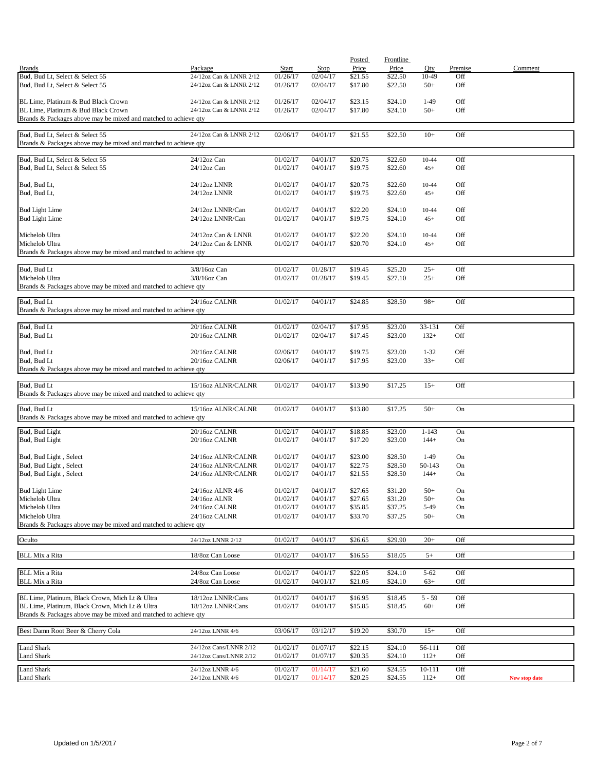| <b>Brands</b>                                                                                          | Package                                          | Start                | <b>Stop</b>          | Posted<br>Price    | Frontline<br>Price | $Q$ ty             | Premise    | Comment       |
|--------------------------------------------------------------------------------------------------------|--------------------------------------------------|----------------------|----------------------|--------------------|--------------------|--------------------|------------|---------------|
| Bud, Bud Lt, Select & Select 55                                                                        | 24/12oz Can & LNNR 2/12                          | 01/26/17             | 02/04/17             | \$21.55            | \$22.50            | 10-49              | Off        |               |
| Bud, Bud Lt, Select & Select 55                                                                        | 24/12oz Can & LNNR 2/12                          | 01/26/17             | 02/04/17             | \$17.80            | \$22.50            | $50+$              | Off        |               |
| BL Lime, Platinum & Bud Black Crown                                                                    | 24/12oz Can & LNNR 2/12                          | 01/26/17             | 02/04/17             | \$23.15            | \$24.10            | $1-49$             | Off        |               |
| BL Lime, Platinum & Bud Black Crown<br>Brands & Packages above may be mixed and matched to achieve qty | 24/12oz Can & LNNR 2/12                          | 01/26/17             | 02/04/17             | \$17.80            | \$24.10            | $50+$              | Off        |               |
|                                                                                                        |                                                  |                      |                      |                    |                    |                    |            |               |
| Bud, Bud Lt, Select & Select 55<br>Brands & Packages above may be mixed and matched to achieve qty     | 24/12oz Can & LNNR 2/12                          | 02/06/17             | 04/01/17             | \$21.55            | \$22.50            | $10+$              | Off        |               |
|                                                                                                        |                                                  |                      |                      |                    |                    |                    |            |               |
| Bud, Bud Lt, Select & Select 55<br>Bud, Bud Lt, Select & Select 55                                     | 24/12oz Can<br>$24/12$ oz Can                    | 01/02/17<br>01/02/17 | 04/01/17<br>04/01/17 | \$20.75<br>\$19.75 | \$22.60<br>\$22.60 | $10 - 44$<br>$45+$ | Off<br>Off |               |
| Bud, Bud Lt,                                                                                           | 24/12oz LNNR                                     | 01/02/17             | 04/01/17             | \$20.75            | \$22.60            | 10-44              | Off        |               |
| Bud, Bud Lt,                                                                                           | 24/12oz LNNR                                     | 01/02/17             | 04/01/17             | \$19.75            | \$22.60            | $45+$              | Off        |               |
| <b>Bud Light Lime</b>                                                                                  | 24/12oz LNNR/Can                                 | 01/02/17             | 04/01/17             | \$22.20            | \$24.10            | $10 - 44$          | Off        |               |
| <b>Bud Light Lime</b>                                                                                  | 24/12oz LNNR/Can                                 | 01/02/17             | 04/01/17             | \$19.75            | \$24.10            | $45+$              | Off        |               |
| Michelob Ultra                                                                                         | 24/12oz Can & LNNR                               | 01/02/17             | 04/01/17             | \$22.20            | \$24.10            | $10 - 44$          | Off        |               |
| Michelob Ultra                                                                                         | 24/12oz Can & LNNR                               | 01/02/17             | 04/01/17             | \$20.70            | \$24.10            | $45+$              | Off        |               |
| Brands & Packages above may be mixed and matched to achieve qty                                        |                                                  |                      |                      |                    |                    |                    |            |               |
| Bud, Bud Lt                                                                                            | 3/8/16oz Can                                     | 01/02/17             | 01/28/17             | \$19.45            | \$25.20            | $25+$              | Off        |               |
| Michelob Ultra<br>Brands & Packages above may be mixed and matched to achieve qty                      | 3/8/16oz Can                                     | 01/02/17             | 01/28/17             | \$19.45            | \$27.10            | $25+$              | Off        |               |
|                                                                                                        | 24/16oz CALNR                                    |                      | 04/01/17             |                    |                    |                    |            |               |
| Bud, Bud Lt<br>Brands & Packages above may be mixed and matched to achieve qty                         |                                                  | 01/02/17             |                      | \$24.85            | \$28.50            | $98+$              | Off        |               |
| Bud, Bud Lt                                                                                            | 20/16oz CALNR                                    | 01/02/17             | 02/04/17             | \$17.95            | \$23.00            | 33-131             | Off        |               |
| Bud, Bud Lt                                                                                            | 20/16oz CALNR                                    | 01/02/17             | 02/04/17             | \$17.45            | \$23.00            | $132+$             | Off        |               |
| Bud, Bud Lt                                                                                            | 20/16oz CALNR                                    | 02/06/17             | 04/01/17             | \$19.75            | \$23.00            | $1 - 32$           | Off        |               |
| Bud, Bud Lt                                                                                            | 20/16oz CALNR                                    | 02/06/17             | 04/01/17             | \$17.95            | \$23.00            | $33+$              | Off        |               |
| Brands & Packages above may be mixed and matched to achieve qty                                        |                                                  |                      |                      |                    |                    |                    |            |               |
| Bud, Bud Lt<br>Brands & Packages above may be mixed and matched to achieve qty                         | 15/16oz ALNR/CALNR                               | 01/02/17             | 04/01/17             | \$13.90            | \$17.25            | $15+$              | Off        |               |
|                                                                                                        |                                                  |                      |                      |                    |                    |                    |            |               |
| Bud, Bud Lt<br>Brands & Packages above may be mixed and matched to achieve qty                         | 15/16oz ALNR/CALNR                               | 01/02/17             | 04/01/17             | \$13.80            | \$17.25            | $50+$              | On         |               |
| Bud, Bud Light                                                                                         | 20/16oz CALNR                                    | 01/02/17             | 04/01/17             | \$18.85            | \$23.00            | $1 - 143$          | On         |               |
| Bud, Bud Light                                                                                         | 20/16oz CALNR                                    | 01/02/17             | 04/01/17             | \$17.20            | \$23.00            | $144+$             | On         |               |
| Bud, Bud Light, Select                                                                                 | 24/16oz ALNR/CALNR                               | 01/02/17             | 04/01/17             | \$23.00            | \$28.50            | $1-49$             | On         |               |
| Bud, Bud Light, Select                                                                                 | 24/16oz ALNR/CALNR                               | 01/02/17             | 04/01/17             | \$22.75            | \$28.50            | 50-143             | On         |               |
| Bud, Bud Light, Select                                                                                 | 24/16oz ALNR/CALNR                               | 01/02/17             | 04/01/17             | \$21.55            | \$28.50            | $144+$             | On         |               |
| <b>Bud Light Lime</b>                                                                                  | 24/16oz ALNR 4/6                                 | 01/02/17             | 04/01/17             | \$27.65            | \$31.20            | $50+$              | On         |               |
| Michelob Ultra                                                                                         | 24/16oz ALNR                                     | 01/02/17             | 04/01/17             | \$27.65            | \$31.20            | $50+$              | On         |               |
| Michelob Ultra                                                                                         | 24/16oz CALNR                                    | 01/02/17             | 04/01/17             | \$35.85            | \$37.25            | 5-49               | On         |               |
| Michelob Ultra<br>Brands & Packages above may be mixed and matched to achieve qty                      | 24/16oz CALNR                                    | 01/02/17             | 04/01/17             | \$33.70            | \$37.25            | $50+$              | On         |               |
| Oculto                                                                                                 | 24/12oz LNNR 2/12                                | 01/02/17             | 04/01/17             | \$26.65            | \$29.90            | $20+$              | Off        |               |
| <b>BLL Mix a Rita</b>                                                                                  | 18/8oz Can Loose                                 | 01/02/17             | 04/01/17             | \$16.55            | \$18.05            | $5+$               | Off        |               |
|                                                                                                        |                                                  |                      |                      |                    |                    |                    |            |               |
| <b>BLL Mix a Rita</b>                                                                                  | 24/8oz Can Loose                                 | 01/02/17             | 04/01/17             | \$22.05            | \$24.10            | $5 - 62$           | Off        |               |
| <b>BLL Mix a Rita</b>                                                                                  | 24/8oz Can Loose                                 | 01/02/17             | 04/01/17             | \$21.05            | \$24.10            | $63+$              | Off        |               |
| BL Lime, Platinum, Black Crown, Mich Lt & Ultra                                                        | 18/12oz LNNR/Cans                                | 01/02/17             | 04/01/17             | \$16.95            | \$18.45            | $5 - 59$           | Off        |               |
| BL Lime, Platinum, Black Crown, Mich Lt & Ultra                                                        | 18/12oz LNNR/Cans                                | 01/02/17             | 04/01/17             | \$15.85            | \$18.45            | $60+$              | Off        |               |
| Brands & Packages above may be mixed and matched to achieve qty                                        |                                                  |                      |                      |                    |                    |                    |            |               |
| Best Damn Root Beer & Cherry Cola                                                                      | 24/12oz LNNR 4/6                                 | 03/06/17             | 03/12/17             | \$19.20            | \$30.70            | $15+$              | Off        |               |
|                                                                                                        |                                                  |                      |                      |                    |                    |                    |            |               |
| <b>Land Shark</b><br>Land Shark                                                                        | 24/12oz Cans/LNNR 2/12<br>24/12oz Cans/LNNR 2/12 | 01/02/17<br>01/02/17 | 01/07/17<br>01/07/17 | \$22.15<br>\$20.35 | \$24.10<br>\$24.10 | 56-111<br>$112+$   | Off<br>Off |               |
| <b>Land Shark</b>                                                                                      | 24/12oz LNNR 4/6                                 | 01/02/17             | 01/14/17             | \$21.60            | \$24.55            | 10-111             | Off        |               |
| Land Shark                                                                                             | 24/12oz LNNR 4/6                                 | 01/02/17             | 01/14/17             | \$20.25            | \$24.55            | $112+$             | Off        | New stop date |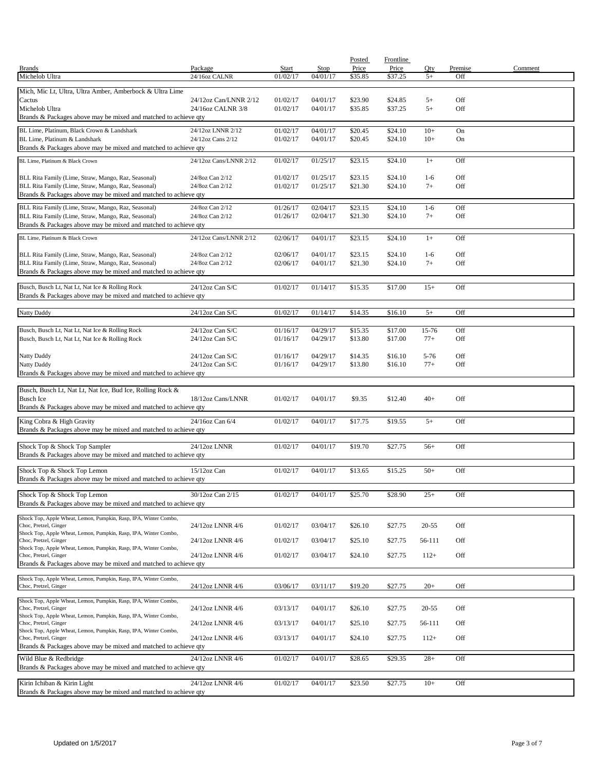|                                                                                                                        |                                            |                      |                      | Posted             | <b>Frontline</b>   |                   |                |         |
|------------------------------------------------------------------------------------------------------------------------|--------------------------------------------|----------------------|----------------------|--------------------|--------------------|-------------------|----------------|---------|
| <b>Brands</b><br>Michelob Ultra                                                                                        | Package<br>24/16oz CALNR                   | Start<br>01/02/17    | Stop<br>04/01/17     | Price<br>\$35.85   | Price<br>\$37.25   | Oty<br>$5+$       | Premise<br>Off | Comment |
|                                                                                                                        |                                            |                      |                      |                    |                    |                   |                |         |
| Mich, Mic Lt, Ultra, Ultra Amber, Amberbock & Ultra Lime                                                               |                                            |                      |                      |                    |                    |                   |                |         |
| Cactus<br>Michelob Ultra                                                                                               | 24/12oz Can/LNNR 2/12<br>24/16oz CALNR 3/8 | 01/02/17<br>01/02/17 | 04/01/17             | \$23.90<br>\$35.85 | \$24.85<br>\$37.25 | $5+$<br>$5+$      | Off<br>Off     |         |
| Brands & Packages above may be mixed and matched to achieve qty                                                        |                                            |                      | 04/01/17             |                    |                    |                   |                |         |
|                                                                                                                        |                                            |                      |                      |                    |                    | $10+$             |                |         |
| BL Lime, Platinum, Black Crown & Landshark<br>BL Lime, Platinum & Landshark                                            | 24/12oz LNNR 2/12<br>24/12oz Cans 2/12     | 01/02/17<br>01/02/17 | 04/01/17<br>04/01/17 | \$20.45<br>\$20.45 | \$24.10<br>\$24.10 | $10+$             | On<br>On       |         |
| Brands & Packages above may be mixed and matched to achieve qty                                                        |                                            |                      |                      |                    |                    |                   |                |         |
| BL Lime, Platinum & Black Crown                                                                                        | 24/12oz Cans/LNNR 2/12                     | 01/02/17             | 01/25/17             | \$23.15            | \$24.10            | $1+$              | Off            |         |
|                                                                                                                        |                                            |                      |                      |                    |                    |                   |                |         |
| BLL Rita Family (Lime, Straw, Mango, Raz, Seasonal)                                                                    | 24/8oz Can 2/12                            | 01/02/17             | 01/25/17             | \$23.15            | \$24.10            | $1-6$             | Off            |         |
| BLL Rita Family (Lime, Straw, Mango, Raz, Seasonal)<br>Brands & Packages above may be mixed and matched to achieve qty | 24/8oz Can 2/12                            | 01/02/17             | 01/25/17             | \$21.30            | \$24.10            | $7+$              | Off            |         |
|                                                                                                                        |                                            |                      |                      |                    |                    |                   |                |         |
| BLL Rita Family (Lime, Straw, Mango, Raz, Seasonal)<br>BLL Rita Family (Lime, Straw, Mango, Raz, Seasonal)             | 24/8oz Can 2/12<br>24/8oz Can 2/12         | 01/26/17<br>01/26/17 | 02/04/17<br>02/04/17 | \$23.15<br>\$21.30 | \$24.10<br>\$24.10 | $1-6$<br>$7+$     | Off<br>Off     |         |
| Brands & Packages above may be mixed and matched to achieve qty                                                        |                                            |                      |                      |                    |                    |                   |                |         |
| BL Lime, Platinum & Black Crown                                                                                        | 24/12oz Cans/LNNR 2/12                     | 02/06/17             | 04/01/17             | \$23.15            | \$24.10            | $1+$              | Off            |         |
|                                                                                                                        |                                            |                      |                      |                    |                    |                   |                |         |
| BLL Rita Family (Lime, Straw, Mango, Raz, Seasonal)                                                                    | 24/8oz Can 2/12                            | 02/06/17             | 04/01/17             | \$23.15            | \$24.10            | $1-6$             | Off            |         |
| BLL Rita Family (Lime, Straw, Mango, Raz, Seasonal)                                                                    | 24/8oz Can 2/12                            | 02/06/17             | 04/01/17             | \$21.30            | \$24.10            | $7+$              | Off            |         |
| Brands & Packages above may be mixed and matched to achieve qty                                                        |                                            |                      |                      |                    |                    |                   |                |         |
| Busch, Busch Lt, Nat Lt, Nat Ice & Rolling Rock                                                                        | 24/12oz Can S/C                            | 01/02/17             | 01/14/17             | \$15.35            | \$17.00            | $15+$             | Off            |         |
| Brands & Packages above may be mixed and matched to achieve qty                                                        |                                            |                      |                      |                    |                    |                   |                |         |
| <b>Natty Daddy</b>                                                                                                     | 24/12oz Can S/C                            | 01/02/17             | 01/14/17             | \$14.35            | \$16.10            | $5+$              | Off            |         |
|                                                                                                                        |                                            |                      |                      |                    |                    |                   |                |         |
| Busch, Busch Lt, Nat Lt, Nat Ice & Rolling Rock                                                                        | 24/12oz Can S/C                            | 01/16/17             | 04/29/17             | \$15.35            | \$17.00            | 15-76             | Off            |         |
| Busch, Busch Lt, Nat Lt, Nat Ice & Rolling Rock                                                                        | 24/12oz Can S/C                            | 01/16/17             | 04/29/17             | \$13.80            | \$17.00            | $77+$             | Off            |         |
|                                                                                                                        |                                            |                      |                      |                    |                    |                   |                |         |
| Natty Daddy<br>Natty Daddy                                                                                             | 24/12oz Can S/C<br>24/12oz Can S/C         | 01/16/17<br>01/16/17 | 04/29/17<br>04/29/17 | \$14.35<br>\$13.80 | \$16.10<br>\$16.10 | $5 - 76$<br>$77+$ | Off<br>Off     |         |
| Brands & Packages above may be mixed and matched to achieve qty                                                        |                                            |                      |                      |                    |                    |                   |                |         |
|                                                                                                                        |                                            |                      |                      |                    |                    |                   |                |         |
| Busch, Busch Lt, Nat Lt, Nat Ice, Bud Ice, Rolling Rock &<br><b>Busch Ice</b>                                          | 18/12oz Cans/LNNR                          | 01/02/17             | 04/01/17             | \$9.35             | \$12.40            | $40+$             | Off            |         |
| Brands & Packages above may be mixed and matched to achieve qty                                                        |                                            |                      |                      |                    |                    |                   |                |         |
|                                                                                                                        | 24/16oz Can 6/4                            | 01/02/17             | 04/01/17             | \$17.75            | \$19.55            | $5+$              | Off            |         |
| King Cobra & High Gravity<br>Brands & Packages above may be mixed and matched to achieve qty                           |                                            |                      |                      |                    |                    |                   |                |         |
|                                                                                                                        |                                            |                      |                      |                    |                    |                   |                |         |
| Shock Top & Shock Top Sampler                                                                                          | 24/12oz LNNR                               | 01/02/17             | 04/01/17             | \$19.70            | \$27.75            | $56+$             | Off            |         |
| Brands & Packages above may be mixed and matched to achieve qty                                                        |                                            |                      |                      |                    |                    |                   |                |         |
| Shock Top & Shock Top Lemon                                                                                            | 15/12oz Can                                | 01/02/17             | 04/01/17             | \$13.65            | \$15.25            | $50+$             | Off            |         |
| Brands & Packages above may be mixed and matched to achieve qty                                                        |                                            |                      |                      |                    |                    |                   |                |         |
| Shock Top & Shock Top Lemon                                                                                            | 30/12oz Can 2/15                           | 01/02/17             | 04/01/17             | \$25.70            | \$28.90            | $25+$             | Off            |         |
| Brands & Packages above may be mixed and matched to achieve qty                                                        |                                            |                      |                      |                    |                    |                   |                |         |
| Shock Top, Apple Wheat, Lemon, Pumpkin, Rasp, IPA, Winter Combo,                                                       |                                            |                      |                      |                    |                    |                   |                |         |
| Choc, Pretzel, Ginger                                                                                                  | 24/12oz LNNR 4/6                           | 01/02/17             | 03/04/17             | \$26.10            | \$27.75            | $20 - 55$         | Off            |         |
| Shock Top, Apple Wheat, Lemon, Pumpkin, Rasp, IPA, Winter Combo,<br>Choc, Pretzel, Ginger                              | 24/12oz LNNR 4/6                           | 01/02/17             | 03/04/17             | \$25.10            | \$27.75            | 56-111            | Off            |         |
| Shock Top, Apple Wheat, Lemon, Pumpkin, Rasp, IPA, Winter Combo,                                                       |                                            |                      |                      |                    |                    |                   |                |         |
| Choc, Pretzel, Ginger                                                                                                  | 24/12oz LNNR 4/6                           | 01/02/17             | 03/04/17             | \$24.10            | \$27.75            | $112+$            | Off            |         |
| Brands & Packages above may be mixed and matched to achieve qty                                                        |                                            |                      |                      |                    |                    |                   |                |         |
| Shock Top, Apple Wheat, Lemon, Pumpkin, Rasp, IPA, Winter Combo,                                                       |                                            |                      |                      |                    |                    |                   |                |         |
| Choc, Pretzel, Ginger                                                                                                  | 24/12oz LNNR 4/6                           | 03/06/17             | 03/11/17             | \$19.20            | \$27.75            | $20+$             | Off            |         |
| Shock Top, Apple Wheat, Lemon, Pumpkin, Rasp, IPA, Winter Combo,                                                       |                                            |                      |                      |                    |                    |                   |                |         |
| Choc, Pretzel, Ginger<br>Shock Top, Apple Wheat, Lemon, Pumpkin, Rasp, IPA, Winter Combo,                              | 24/12oz LNNR 4/6                           | 03/13/17             | 04/01/17             | \$26.10            | \$27.75            | $20 - 55$         | Off            |         |
| Choc, Pretzel, Ginger                                                                                                  | 24/12oz LNNR 4/6                           | 03/13/17             | 04/01/17             | \$25.10            | \$27.75            | 56-111            | Off            |         |
| Shock Top, Apple Wheat, Lemon, Pumpkin, Rasp, IPA, Winter Combo,<br>Choc, Pretzel, Ginger                              | 24/12oz LNNR 4/6                           | 03/13/17             | 04/01/17             | \$24.10            | \$27.75            | $112+$            | Off            |         |
| Brands & Packages above may be mixed and matched to achieve qty                                                        |                                            |                      |                      |                    |                    |                   |                |         |
| Wild Blue & Redbridge                                                                                                  | 24/12oz LNNR 4/6                           | 01/02/17             | 04/01/17             | \$28.65            | \$29.35            | $28+$             | Off            |         |
| Brands & Packages above may be mixed and matched to achieve qty                                                        |                                            |                      |                      |                    |                    |                   |                |         |
|                                                                                                                        |                                            |                      |                      |                    |                    |                   |                |         |
| Kirin Ichiban & Kirin Light<br>Brands & Packages above may be mixed and matched to achieve qty                         | 24/12oz LNNR 4/6                           | 01/02/17             | 04/01/17             | \$23.50            | \$27.75            | $10+$             | Off            |         |
|                                                                                                                        |                                            |                      |                      |                    |                    |                   |                |         |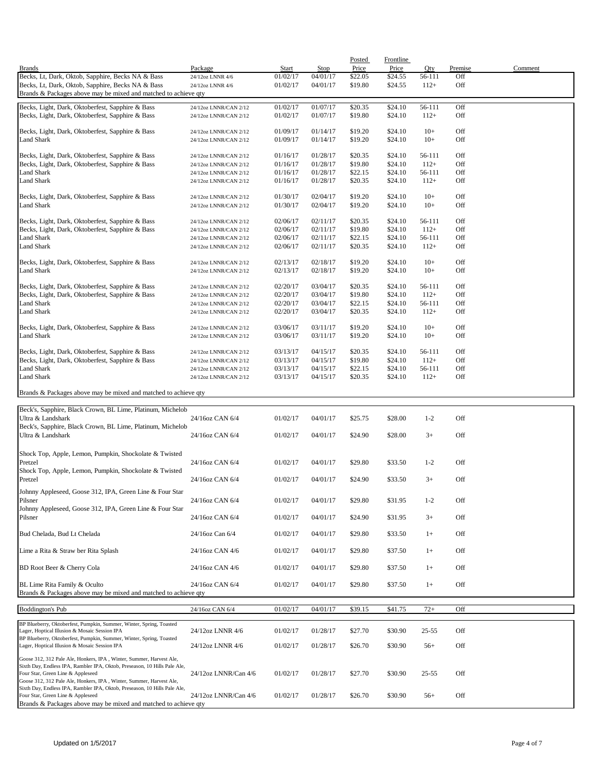|                                                                                                                      |                                                |                      |                      | Posted             | <b>Frontline</b>   |                  |            |         |
|----------------------------------------------------------------------------------------------------------------------|------------------------------------------------|----------------------|----------------------|--------------------|--------------------|------------------|------------|---------|
| <b>Brands</b>                                                                                                        | Package                                        | Start                | <b>Stop</b>          | Price              | Price              | Qty              | Premise    | Comment |
| Becks, Lt, Dark, Oktob, Sapphire, Becks NA & Bass                                                                    | 24/12oz LNNR 4/6                               | 01/02/17<br>01/02/17 | 04/01/17<br>04/01/17 | \$22.05<br>\$19.80 | \$24.55<br>\$24.55 | 56-111<br>$112+$ | Off<br>Off |         |
| Becks, Lt, Dark, Oktob, Sapphire, Becks NA & Bass<br>Brands & Packages above may be mixed and matched to achieve qty | 24/12oz LNNR 4/6                               |                      |                      |                    |                    |                  |            |         |
|                                                                                                                      |                                                |                      |                      |                    |                    |                  |            |         |
| Becks, Light, Dark, Oktoberfest, Sapphire & Bass                                                                     | 24/12oz LNNR/CAN 2/12                          | 01/02/17             | 01/07/17             | \$20.35            | \$24.10            | 56-111           | Off        |         |
| Becks, Light, Dark, Oktoberfest, Sapphire & Bass                                                                     | 24/12oz LNNR/CAN 2/12                          | 01/02/17             | 01/07/17             | \$19.80            | \$24.10            | $112+$           | Off        |         |
| Becks, Light, Dark, Oktoberfest, Sapphire & Bass                                                                     | 24/12oz LNNR/CAN 2/12                          | 01/09/17             | 01/14/17             | \$19.20            | \$24.10            | $10+$            | Off        |         |
| <b>Land Shark</b>                                                                                                    | 24/12oz LNNR/CAN 2/12                          | 01/09/17             | 01/14/17             | \$19.20            | \$24.10            | $10+$            | Off        |         |
|                                                                                                                      |                                                |                      |                      |                    |                    |                  |            |         |
| Becks, Light, Dark, Oktoberfest, Sapphire & Bass                                                                     | 24/12oz LNNR/CAN 2/12                          | 01/16/17             | 01/28/17             | \$20.35            | \$24.10            | 56-111           | Off        |         |
| Becks, Light, Dark, Oktoberfest, Sapphire & Bass                                                                     | 24/12oz LNNR/CAN 2/12                          | 01/16/17             | 01/28/17             | \$19.80            | \$24.10            | $112+$           | Off        |         |
| <b>Land Shark</b>                                                                                                    | 24/12oz LNNR/CAN 2/12                          | 01/16/17             | 01/28/17             | \$22.15            | \$24.10            | 56-111           | Off        |         |
| <b>Land Shark</b>                                                                                                    | 24/12oz LNNR/CAN 2/12                          | 01/16/17             | 01/28/17             | \$20.35            | \$24.10            | $112+$           | Off        |         |
| Becks, Light, Dark, Oktoberfest, Sapphire & Bass                                                                     | 24/12oz LNNR/CAN 2/12                          | 01/30/17             | 02/04/17             | \$19.20            | \$24.10            | $10+$            | Off        |         |
| Land Shark                                                                                                           | 24/12oz LNNR/CAN 2/12                          | 01/30/17             | 02/04/17             | \$19.20            | \$24.10            | $10+$            | Off        |         |
|                                                                                                                      |                                                |                      |                      |                    |                    |                  |            |         |
| Becks, Light, Dark, Oktoberfest, Sapphire & Bass                                                                     | 24/12oz LNNR/CAN 2/12                          | 02/06/17             | 02/11/17             | \$20.35            | \$24.10            | 56-111           | Off        |         |
| Becks, Light, Dark, Oktoberfest, Sapphire & Bass                                                                     | 24/12oz LNNR/CAN 2/12                          | 02/06/17             | 02/11/17             | \$19.80            | \$24.10            | $112+$           | Off        |         |
| Land Shark                                                                                                           | 24/12oz LNNR/CAN 2/12                          | 02/06/17             | 02/11/17             | \$22.15            | \$24.10            | 56-111           | Off        |         |
| Land Shark                                                                                                           | 24/12oz LNNR/CAN 2/12                          | 02/06/17             | 02/11/17             | \$20.35            | \$24.10            | $112+$           | Off        |         |
| Becks, Light, Dark, Oktoberfest, Sapphire & Bass                                                                     | 24/12oz LNNR/CAN 2/12                          | 02/13/17             | 02/18/17             | \$19.20            | \$24.10            | $10+$            | Off        |         |
| <b>Land Shark</b>                                                                                                    | 24/12oz LNNR/CAN 2/12                          | 02/13/17             | 02/18/17             | \$19.20            | \$24.10            | $10+$            | Off        |         |
|                                                                                                                      |                                                |                      |                      |                    |                    |                  |            |         |
| Becks, Light, Dark, Oktoberfest, Sapphire & Bass                                                                     | 24/12oz LNNR/CAN 2/12                          | 02/20/17             | 03/04/17             | \$20.35            | \$24.10            | 56-111           | Off        |         |
| Becks, Light, Dark, Oktoberfest, Sapphire & Bass                                                                     | 24/12oz LNNR/CAN 2/12                          | 02/20/17             | 03/04/17             | \$19.80            | \$24.10            | $112+$           | Off        |         |
| <b>Land Shark</b>                                                                                                    | 24/12oz LNNR/CAN 2/12                          | 02/20/17             | 03/04/17             | \$22.15            | \$24.10            | 56-111           | Off        |         |
| Land Shark                                                                                                           | 24/12oz LNNR/CAN 2/12                          | 02/20/17             | 03/04/17             | \$20.35            | \$24.10            | $112+$           | Off        |         |
|                                                                                                                      |                                                |                      |                      |                    |                    |                  |            |         |
| Becks, Light, Dark, Oktoberfest, Sapphire & Bass<br><b>Land Shark</b>                                                | 24/12oz LNNR/CAN 2/12<br>24/12oz LNNR/CAN 2/12 | 03/06/17<br>03/06/17 | 03/11/17<br>03/11/17 | \$19.20<br>\$19.20 | \$24.10<br>\$24.10 | $10+$<br>$10+$   | Off<br>Off |         |
|                                                                                                                      |                                                |                      |                      |                    |                    |                  |            |         |
| Becks, Light, Dark, Oktoberfest, Sapphire & Bass                                                                     | 24/12oz LNNR/CAN 2/12                          | 03/13/17             | 04/15/17             | \$20.35            | \$24.10            | 56-111           | Off        |         |
| Becks, Light, Dark, Oktoberfest, Sapphire & Bass                                                                     | 24/12oz LNNR/CAN 2/12                          | 03/13/17             | 04/15/17             | \$19.80            | \$24.10            | $112+$           | Off        |         |
| Land Shark                                                                                                           | 24/12oz LNNR/CAN 2/12                          | 03/13/17             | 04/15/17             | \$22.15            | \$24.10            | 56-111           | Off        |         |
| Land Shark                                                                                                           | 24/12oz LNNR/CAN 2/12                          | 03/13/17             | 04/15/17             | \$20.35            | \$24.10            | $112+$           | Off        |         |
| Brands & Packages above may be mixed and matched to achieve qty                                                      |                                                |                      |                      |                    |                    |                  |            |         |
|                                                                                                                      |                                                |                      |                      |                    |                    |                  |            |         |
| Beck's, Sapphire, Black Crown, BL Lime, Platinum, Michelob                                                           |                                                |                      |                      |                    |                    |                  |            |         |
| Ultra & Landshark                                                                                                    | 24/16oz CAN 6/4                                | 01/02/17             | 04/01/17             | \$25.75            | \$28.00            | $1 - 2$          | Off        |         |
| Beck's, Sapphire, Black Crown, BL Lime, Platinum, Michelob                                                           |                                                |                      |                      |                    |                    |                  |            |         |
| Ultra & Landshark                                                                                                    | 24/16oz CAN 6/4                                | 01/02/17             | 04/01/17             | \$24.90            | \$28.00            | $3+$             | Off        |         |
|                                                                                                                      |                                                |                      |                      |                    |                    |                  |            |         |
| Shock Top, Apple, Lemon, Pumpkin, Shockolate & Twisted                                                               |                                                |                      |                      |                    |                    |                  |            |         |
| Pretzel                                                                                                              | 24/16oz CAN 6/4                                | 01/02/17             | 04/01/17             | \$29.80            | \$33.50            | $1 - 2$          | Off        |         |
| Shock Top, Apple, Lemon, Pumpkin, Shockolate & Twisted                                                               |                                                |                      |                      |                    |                    |                  |            |         |
| Pretzel                                                                                                              | 24/16oz CAN 6/4                                | 01/02/17             | 04/01/17             | \$24.90            | \$33.50            | $3+$             | Off        |         |
| Johnny Appleseed, Goose 312, IPA, Green Line & Four Star                                                             |                                                |                      |                      |                    |                    |                  |            |         |
| Pilsner                                                                                                              | 24/16oz CAN 6/4                                | 01/02/17             | 04/01/17             | \$29.80            | \$31.95            | $1 - 2$          | Off        |         |
| Johnny Appleseed, Goose 312, IPA, Green Line & Four Star                                                             |                                                |                      |                      |                    |                    |                  |            |         |
| Pilsner                                                                                                              | 24/16oz CAN 6/4                                | 01/02/17             | 04/01/17             | \$24.90            | \$31.95            | $3+$             | Off        |         |
| Bud Chelada, Bud Lt Chelada                                                                                          | 24/16oz Can 6/4                                | 01/02/17             | 04/01/17             | \$29.80            | \$33.50            | $1+$             | Off        |         |
|                                                                                                                      |                                                |                      |                      |                    |                    |                  |            |         |
| Lime a Rita & Straw ber Rita Splash                                                                                  | 24/16oz CAN 4/6                                | 01/02/17             | 04/01/17             | \$29.80            | \$37.50            | $1+$             | Off        |         |
|                                                                                                                      |                                                |                      |                      |                    |                    |                  |            |         |
| BD Root Beer & Cherry Cola                                                                                           | 24/16oz CAN 4/6                                | 01/02/17             | 04/01/17             | \$29.80            | \$37.50            | $1+$             | Off        |         |
|                                                                                                                      |                                                |                      |                      |                    |                    |                  |            |         |
| BL Lime Rita Family & Oculto                                                                                         | 24/16oz CAN 6/4                                | 01/02/17             | 04/01/17             | \$29.80            | \$37.50            | $1+$             | Off        |         |
| Brands & Packages above may be mixed and matched to achieve qty                                                      |                                                |                      |                      |                    |                    |                  |            |         |
| <b>Boddington's Pub</b>                                                                                              | 24/16oz CAN 6/4                                | 01/02/17             | 04/01/17             | \$39.15            | \$41.75            | $72+$            | Off        |         |
|                                                                                                                      |                                                |                      |                      |                    |                    |                  |            |         |
| BP Blueberry, Oktoberfest, Pumpkin, Summer, Winter, Spring, Toasted<br>Lager, Hoptical Illusion & Mosaic Session IPA | 24/12oz LNNR 4/6                               | 01/02/17             | 01/28/17             | \$27.70            | \$30.90            | $25 - 55$        | Off        |         |
| BP Blueberry, Oktoberfest, Pumpkin, Summer, Winter, Spring, Toasted                                                  |                                                |                      |                      |                    |                    |                  |            |         |
| Lager, Hoptical Illusion & Mosaic Session IPA                                                                        | 24/12oz LNNR 4/6                               | 01/02/17             | 01/28/17             | \$26.70            | \$30.90            | $56+$            | Off        |         |
| Goose 312, 312 Pale Ale, Honkers, IPA, Winter, Summer, Harvest Ale,                                                  |                                                |                      |                      |                    |                    |                  |            |         |
| Sixth Day, Endless IPA, Rambler IPA, Oktob, Preseason, 10 Hills Pale Ale,                                            |                                                |                      |                      |                    |                    |                  |            |         |
| Four Star, Green Line & Appleseed                                                                                    | 24/12oz LNNR/Can 4/6                           | 01/02/17             | 01/28/17             | \$27.70            | \$30.90            | $25 - 55$        | Off        |         |
| Goose 312, 312 Pale Ale, Honkers, IPA, Winter, Summer, Harvest Ale,                                                  |                                                |                      |                      |                    |                    |                  |            |         |
| Sixth Day, Endless IPA, Rambler IPA, Oktob, Preseason, 10 Hills Pale Ale,<br>Four Star, Green Line & Appleseed       | 24/12oz LNNR/Can 4/6                           | 01/02/17             | 01/28/17             | \$26.70            | \$30.90            | $56+$            | Off        |         |
| Brands & Packages above may be mixed and matched to achieve qty                                                      |                                                |                      |                      |                    |                    |                  |            |         |
|                                                                                                                      |                                                |                      |                      |                    |                    |                  |            |         |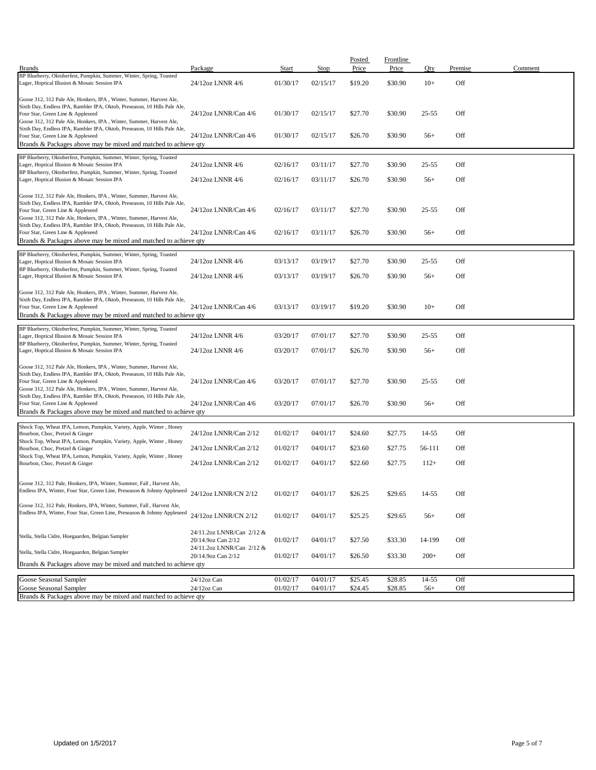| <b>Brands</b>                                                                                                                                                                                                                                                                                                                             | Package                                                                      | Start                | Stop                 | Posted<br>Price    | <b>Frontline</b><br>Price | Qty            | Premise    | Comment |
|-------------------------------------------------------------------------------------------------------------------------------------------------------------------------------------------------------------------------------------------------------------------------------------------------------------------------------------------|------------------------------------------------------------------------------|----------------------|----------------------|--------------------|---------------------------|----------------|------------|---------|
| BP Blueberry, Oktoberfest, Pumpkin, Summer, Winter, Spring, Toasted<br>Lager, Hoptical Illusion & Mosaic Session IPA                                                                                                                                                                                                                      | 24/12oz LNNR 4/6                                                             | 01/30/17             | 02/15/17             | \$19.20            | \$30.90                   | $10+$          | Off        |         |
|                                                                                                                                                                                                                                                                                                                                           |                                                                              |                      |                      |                    |                           |                |            |         |
| Goose 312, 312 Pale Ale, Honkers, IPA, Winter, Summer, Harvest Ale,<br>Sixth Day, Endless IPA, Rambler IPA, Oktob, Preseason, 10 Hills Pale Ale,<br>Four Star, Green Line & Appleseed<br>Goose 312, 312 Pale Ale, Honkers, IPA, Winter, Summer, Harvest Ale,                                                                              | 24/12oz LNNR/Can 4/6                                                         | 01/30/17             | 02/15/17             | \$27.70            | \$30.90                   | 25-55          | Off        |         |
| Sixth Day, Endless IPA, Rambler IPA, Oktob, Preseason, 10 Hills Pale Ale,<br>Four Star, Green Line & Appleseed<br>Brands & Packages above may be mixed and matched to achieve qty                                                                                                                                                         | 24/12oz LNNR/Can 4/6                                                         | 01/30/17             | 02/15/17             | \$26.70            | \$30.90                   | $56+$          | Off        |         |
| BP Blueberry, Oktoberfest, Pumpkin, Summer, Winter, Spring, Toasted<br>Lager, Hoptical Illusion & Mosaic Session IPA                                                                                                                                                                                                                      | 24/12oz LNNR 4/6                                                             | 02/16/17             | 03/11/17             | \$27.70            | \$30.90                   | 25-55          | Off        |         |
| BP Blueberry, Oktoberfest, Pumpkin, Summer, Winter, Spring, Toasted<br>Lager, Hoptical Illusion & Mosaic Session IPA                                                                                                                                                                                                                      | 24/12oz LNNR 4/6                                                             | 02/16/17             | 03/11/17             | \$26.70            | \$30.90                   | $56+$          | Off        |         |
| Goose 312, 312 Pale Ale, Honkers, IPA, Winter, Summer, Harvest Ale,<br>Sixth Day, Endless IPA, Rambler IPA, Oktob, Preseason, 10 Hills Pale Ale,<br>Four Star, Green Line & Appleseed                                                                                                                                                     | 24/12oz LNNR/Can 4/6                                                         | 02/16/17             | 03/11/17             | \$27.70            | \$30.90                   | $25 - 55$      | Off        |         |
| Goose 312, 312 Pale Ale, Honkers, IPA, Winter, Summer, Harvest Ale,<br>Sixth Day, Endless IPA, Rambler IPA, Oktob, Preseason, 10 Hills Pale Ale,<br>Four Star, Green Line & Appleseed<br>Brands & Packages above may be mixed and matched to achieve qty                                                                                  | 24/12oz LNNR/Can 4/6                                                         | 02/16/17             | 03/11/17             | \$26.70            | \$30.90                   | $56+$          | Off        |         |
| BP Blueberry, Oktoberfest, Pumpkin, Summer, Winter, Spring, Toasted<br>Lager, Hoptical Illusion & Mosaic Session IPA                                                                                                                                                                                                                      | 24/12oz LNNR 4/6                                                             | 03/13/17             | 03/19/17             | \$27.70            | \$30.90                   | 25-55          | Off        |         |
| BP Blueberry, Oktoberfest, Pumpkin, Summer, Winter, Spring, Toasted<br>Lager, Hoptical Illusion & Mosaic Session IPA                                                                                                                                                                                                                      | 24/12oz LNNR 4/6                                                             | 03/13/17             | 03/19/17             | \$26.70            | \$30.90                   | $56+$          | Off        |         |
| Goose 312, 312 Pale Ale, Honkers, IPA, Winter, Summer, Harvest Ale,<br>Sixth Day, Endless IPA, Rambler IPA, Oktob, Preseason, 10 Hills Pale Ale,<br>Four Star, Green Line & Appleseed<br>Brands & Packages above may be mixed and matched to achieve qty                                                                                  | 24/12oz LNNR/Can 4/6                                                         | 03/13/17             | 03/19/17             | \$19.20            | \$30.90                   | $10+$          | Off        |         |
| BP Blueberry, Oktoberfest, Pumpkin, Summer, Winter, Spring, Toasted                                                                                                                                                                                                                                                                       |                                                                              |                      |                      |                    |                           |                |            |         |
| Lager, Hoptical Illusion & Mosaic Session IPA<br>BP Blueberry, Oktoberfest, Pumpkin, Summer, Winter, Spring, Toasted                                                                                                                                                                                                                      | 24/12oz LNNR 4/6<br>24/12oz LNNR 4/6                                         | 03/20/17<br>03/20/17 | 07/01/17<br>07/01/17 | \$27.70<br>\$26.70 | \$30.90<br>\$30.90        | 25-55<br>$56+$ | Off<br>Off |         |
| Lager, Hoptical Illusion & Mosaic Session IPA                                                                                                                                                                                                                                                                                             |                                                                              |                      |                      |                    |                           |                |            |         |
| Goose 312, 312 Pale Ale, Honkers, IPA, Winter, Summer, Harvest Ale,<br>Sixth Day, Endless IPA, Rambler IPA, Oktob, Preseason, 10 Hills Pale Ale,<br>Four Star, Green Line & Appleseed<br>Goose 312, 312 Pale Ale, Honkers, IPA, Winter, Summer, Harvest Ale,<br>Sixth Day, Endless IPA, Rambler IPA, Oktob, Preseason, 10 Hills Pale Ale, | 24/12oz LNNR/Can 4/6                                                         | 03/20/17             | 07/01/17             | \$27.70            | \$30.90                   | 25-55          | Off        |         |
| Four Star, Green Line & Appleseed<br>Brands & Packages above may be mixed and matched to achieve qty                                                                                                                                                                                                                                      | 24/12oz LNNR/Can 4/6                                                         | 03/20/17             | 07/01/17             | \$26.70            | \$30.90                   | $56+$          | Off        |         |
|                                                                                                                                                                                                                                                                                                                                           |                                                                              |                      |                      |                    |                           |                |            |         |
| Shock Top, Wheat IPA, Lemon, Pumpkin, Variety, Apple, Winter, Honey<br>Bourbon, Choc, Pretzel & Ginger<br>Shock Top, Wheat IPA, Lemon, Pumpkin, Variety, Apple, Winter, Honey                                                                                                                                                             | 24/12oz LNNR/Can 2/12                                                        | 01/02/17             | 04/01/17             | \$24.60            | \$27.75                   | 14-55          | Off        |         |
| Bourbon, Choc, Pretzel & Ginger<br>Shock Top, Wheat IPA, Lemon, Pumpkin, Variety, Apple, Winter, Honey                                                                                                                                                                                                                                    | 24/12oz LNNR/Can 2/12                                                        | 01/02/17             | 04/01/17             | \$23.60            | \$27.75                   | 56-111         | Off        |         |
| Bourbon, Choc, Pretzel & Ginger                                                                                                                                                                                                                                                                                                           | 24/12oz LNNR/Can 2/12                                                        | 01/02/17             | 04/01/17             | \$22.60            | \$27.75                   | $112+$         | Off        |         |
| Goose 312, 312 Pale, Honkers, IPA, Winter, Summer, Fall, Harvest Ale,<br>Endless IPA, Winter, Four Star, Green Line, Preseason & Johnny Appleseed                                                                                                                                                                                         | 24/12oz LNNR/CN 2/12                                                         | 01/02/17             | 04/01/17             | \$26.25            | \$29.65                   | 14-55          | Off        |         |
| Goose 312, 312 Pale, Honkers, IPA, Winter, Summer, Fall, Harvest Ale,<br>Endless IPA, Winter, Four Star, Green Line, Preseason & Johnny Appleseed                                                                                                                                                                                         | 24/12oz LNNR/CN 2/12                                                         | 01/02/17             | 04/01/17             | \$25.25            | \$29.65                   | $56+$          | Off        |         |
| Stella, Stella Cidre, Hoegaarden, Belgian Sampler                                                                                                                                                                                                                                                                                         | 24/11.2oz LNNR/Can 2/12 &<br>20/14.9oz Can 2/12<br>24/11.2oz LNNR/Can 2/12 & | 01/02/17             | 04/01/17             | \$27.50            | \$33.30                   | 14-199         | Off        |         |
| Stella, Stella Cidre, Hoegaarden, Belgian Sampler                                                                                                                                                                                                                                                                                         | 20/14.9oz Can 2/12                                                           | 01/02/17             | 04/01/17             | \$26.50            | \$33.30                   | $200+$         | Off        |         |
| Brands & Packages above may be mixed and matched to achieve qty                                                                                                                                                                                                                                                                           |                                                                              |                      |                      |                    |                           |                |            |         |
| Goose Seasonal Sampler                                                                                                                                                                                                                                                                                                                    | 24/12oz Can                                                                  | 01/02/17             | 04/01/17             | \$25.45            | \$28.85                   | $14 - 55$      | Off        |         |
| Goose Seasonal Sampler<br>Brands & Packages above may be mixed and matched to achieve qty                                                                                                                                                                                                                                                 | $24/12$ oz Can                                                               | 01/02/17             | 04/01/17             | \$24.45            | \$28.85                   | $56+$          | Off        |         |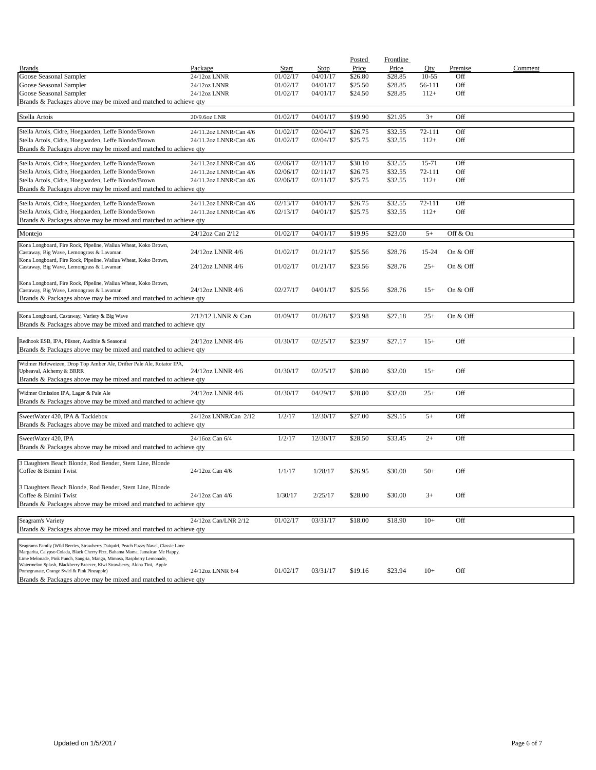|                                                                                                                                                                      |                        |          |          | Posted  | <b>Frontline</b> |           |          |         |
|----------------------------------------------------------------------------------------------------------------------------------------------------------------------|------------------------|----------|----------|---------|------------------|-----------|----------|---------|
| <b>Brands</b>                                                                                                                                                        | Package                | Start    | Stop     | Price   | Price            | Oty       | Premise  | Comment |
| Goose Seasonal Sampler                                                                                                                                               | 24/12oz LNNR           | 01/02/17 | 04/01/17 | \$26.80 | \$28.85          | $10 - 55$ | Off      |         |
| Goose Seasonal Sampler                                                                                                                                               | 24/12oz LNNR           | 01/02/17 | 04/01/17 | \$25.50 | \$28.85          | 56-111    | Off      |         |
| Goose Seasonal Sampler                                                                                                                                               | 24/12oz LNNR           | 01/02/17 | 04/01/17 | \$24.50 | \$28.85          | $112+$    | Off      |         |
| Brands & Packages above may be mixed and matched to achieve qty                                                                                                      |                        |          |          |         |                  |           |          |         |
|                                                                                                                                                                      |                        |          |          |         |                  |           |          |         |
| Stella Artois                                                                                                                                                        | 20/9.6oz LNR           | 01/02/17 | 04/01/17 | \$19.90 | \$21.95          | $3+$      | Off      |         |
|                                                                                                                                                                      |                        |          |          |         |                  |           |          |         |
| Stella Artois, Cidre, Hoegaarden, Leffe Blonde/Brown                                                                                                                 | 24/11.2oz LNNR/Can 4/6 | 01/02/17 | 02/04/17 | \$26.75 | \$32.55          | 72-111    | Off      |         |
| Stella Artois, Cidre, Hoegaarden, Leffe Blonde/Brown                                                                                                                 | 24/11.2oz LNNR/Can 4/6 | 01/02/17 | 02/04/17 | \$25.75 | \$32.55          | $112+$    | Off      |         |
| Brands & Packages above may be mixed and matched to achieve qty                                                                                                      |                        |          |          |         |                  |           |          |         |
| Stella Artois, Cidre, Hoegaarden, Leffe Blonde/Brown                                                                                                                 | 24/11.2oz LNNR/Can 4/6 | 02/06/17 | 02/11/17 | \$30.10 | \$32.55          | 15-71     | Off      |         |
| Stella Artois, Cidre, Hoegaarden, Leffe Blonde/Brown                                                                                                                 | 24/11.2oz LNNR/Can 4/6 | 02/06/17 | 02/11/17 | \$26.75 | \$32.55          | 72-111    | Off      |         |
| Stella Artois, Cidre, Hoegaarden, Leffe Blonde/Brown                                                                                                                 | 24/11.2oz LNNR/Can 4/6 | 02/06/17 | 02/11/17 | \$25.75 | \$32.55          | $112+$    | Off      |         |
| Brands & Packages above may be mixed and matched to achieve qty                                                                                                      |                        |          |          |         |                  |           |          |         |
|                                                                                                                                                                      |                        |          |          |         |                  |           |          |         |
| Stella Artois, Cidre, Hoegaarden, Leffe Blonde/Brown                                                                                                                 | 24/11.2oz LNNR/Can 4/6 | 02/13/17 | 04/01/17 | \$26.75 | \$32.55          | 72-111    | Off      |         |
| Stella Artois, Cidre, Hoegaarden, Leffe Blonde/Brown                                                                                                                 | 24/11.2oz LNNR/Can 4/6 | 02/13/17 | 04/01/17 | \$25.75 | \$32.55          | $112+$    | Off      |         |
| Brands & Packages above may be mixed and matched to achieve qty                                                                                                      |                        |          |          |         |                  |           |          |         |
|                                                                                                                                                                      |                        |          |          |         |                  |           |          |         |
| Montejo                                                                                                                                                              | 24/12oz Can 2/12       | 01/02/17 | 04/01/17 | \$19.95 | \$23.00          | $5+$      | Off & On |         |
| Kona Longboard, Fire Rock, Pipeline, Wailua Wheat, Koko Brown,                                                                                                       |                        |          |          |         |                  |           |          |         |
| Castaway, Big Wave, Lemongrass & Lavaman                                                                                                                             | 24/12oz LNNR 4/6       | 01/02/17 | 01/21/17 | \$25.56 | \$28.76          | 15-24     | On & Off |         |
| Kona Longboard, Fire Rock, Pipeline, Wailua Wheat, Koko Brown,                                                                                                       |                        |          |          |         |                  |           |          |         |
| Castaway, Big Wave, Lemongrass & Lavaman                                                                                                                             | 24/12oz LNNR 4/6       | 01/02/17 | 01/21/17 | \$23.56 | \$28.76          | $25+$     | On & Off |         |
|                                                                                                                                                                      |                        |          |          |         |                  |           |          |         |
| Kona Longboard, Fire Rock, Pipeline, Wailua Wheat, Koko Brown,<br>Castaway, Big Wave, Lemongrass & Lavaman                                                           | 24/12oz LNNR 4/6       | 02/27/17 | 04/01/17 | \$25.56 | \$28.76          | $15+$     | On & Off |         |
| Brands & Packages above may be mixed and matched to achieve qty                                                                                                      |                        |          |          |         |                  |           |          |         |
|                                                                                                                                                                      |                        |          |          |         |                  |           |          |         |
| Kona Longboard, Castaway, Variety & Big Wave                                                                                                                         | 2/12/12 LNNR & Can     | 01/09/17 | 01/28/17 | \$23.98 | \$27.18          | $25+$     | On & Off |         |
| Brands & Packages above may be mixed and matched to achieve qty                                                                                                      |                        |          |          |         |                  |           |          |         |
|                                                                                                                                                                      |                        |          |          |         |                  |           |          |         |
| Redhook ESB, IPA, Pilsner, Audible & Seasonal                                                                                                                        | 24/12oz LNNR 4/6       | 01/30/17 | 02/25/17 | \$23.97 | \$27.17          | $15+$     | Off      |         |
| Brands & Packages above may be mixed and matched to achieve qty                                                                                                      |                        |          |          |         |                  |           |          |         |
|                                                                                                                                                                      |                        |          |          |         |                  |           |          |         |
| Widmer Hefeweizen, Drop Top Amber Ale, Drifter Pale Ale, Rotator IPA,                                                                                                |                        |          |          |         |                  |           |          |         |
| Upheaval, Alchemy & BRRR                                                                                                                                             | 24/12oz LNNR 4/6       | 01/30/17 | 02/25/17 | \$28.80 | \$32.00          | $15+$     | Off      |         |
| Brands & Packages above may be mixed and matched to achieve qty                                                                                                      |                        |          |          |         |                  |           |          |         |
|                                                                                                                                                                      |                        |          |          |         |                  |           |          |         |
| Widmer Omission IPA, Lager & Pale Ale                                                                                                                                | 24/12oz LNNR 4/6       | 01/30/17 | 04/29/17 | \$28.80 | \$32.00          | $25+$     | Off      |         |
| Brands & Packages above may be mixed and matched to achieve qty                                                                                                      |                        |          |          |         |                  |           |          |         |
| SweetWater 420, IPA & Tacklebox                                                                                                                                      | 24/12oz LNNR/Can 2/12  | 1/2/17   | 12/30/17 | \$27.00 | \$29.15          | $5+$      | Off      |         |
| Brands & Packages above may be mixed and matched to achieve qty                                                                                                      |                        |          |          |         |                  |           |          |         |
|                                                                                                                                                                      |                        |          |          |         |                  |           |          |         |
| SweetWater 420, IPA                                                                                                                                                  | 24/16oz Can 6/4        | 1/2/17   | 12/30/17 | \$28.50 | \$33.45          | $2+$      | Off      |         |
| Brands & Packages above may be mixed and matched to achieve qty                                                                                                      |                        |          |          |         |                  |           |          |         |
|                                                                                                                                                                      |                        |          |          |         |                  |           |          |         |
| 3 Daughters Beach Blonde, Rod Bender, Stern Line, Blonde                                                                                                             |                        |          |          |         |                  |           |          |         |
| Coffee & Bimini Twist                                                                                                                                                | 24/12oz Can 4/6        | 1/1/17   | 1/28/17  | \$26.95 | \$30.00          | $50+$     | Off      |         |
|                                                                                                                                                                      |                        |          |          |         |                  |           |          |         |
| 3 Daughters Beach Blonde, Rod Bender, Stern Line, Blonde                                                                                                             |                        |          |          |         |                  |           |          |         |
| Coffee & Bimini Twist                                                                                                                                                | 24/12oz Can 4/6        | 1/30/17  | 2/25/17  | \$28.00 | \$30.00          | $3+$      | Off      |         |
| Brands & Packages above may be mixed and matched to achieve qty                                                                                                      |                        |          |          |         |                  |           |          |         |
|                                                                                                                                                                      |                        |          |          |         |                  |           |          |         |
| Seagram's Variety                                                                                                                                                    | 24/12oz Can/LNR 2/12   | 01/02/17 | 03/31/17 | \$18.00 | \$18.90          | $10+$     | Off      |         |
| Brands & Packages above may be mixed and matched to achieve qty                                                                                                      |                        |          |          |         |                  |           |          |         |
|                                                                                                                                                                      |                        |          |          |         |                  |           |          |         |
| Seagrams Family (Wild Berries, Strawberry Daiquiri, Peach Fuzzy Navel, Classic Lime<br>Margarita, Calypso Colada, Black Cherry Fizz, Bahama Mama, Jamaican Me Happy, |                        |          |          |         |                  |           |          |         |
| Lime Melonade, Pink Punch, Sangria, Mango, Mimosa, Raspberry Lemonade,                                                                                               |                        |          |          |         |                  |           |          |         |
| Watermelon Splash, Blackberry Breezer, Kiwi Strawberry, Aloha Tini, Apple                                                                                            |                        |          |          |         |                  |           |          |         |
| Pomegranate, Orange Swirl & Pink Pineapple)                                                                                                                          | 24/12oz LNNR 6/4       | 01/02/17 | 03/31/17 | \$19.16 | \$23.94          | $10+$     | Off      |         |
| Brands & Packages above may be mixed and matched to achieve qty                                                                                                      |                        |          |          |         |                  |           |          |         |